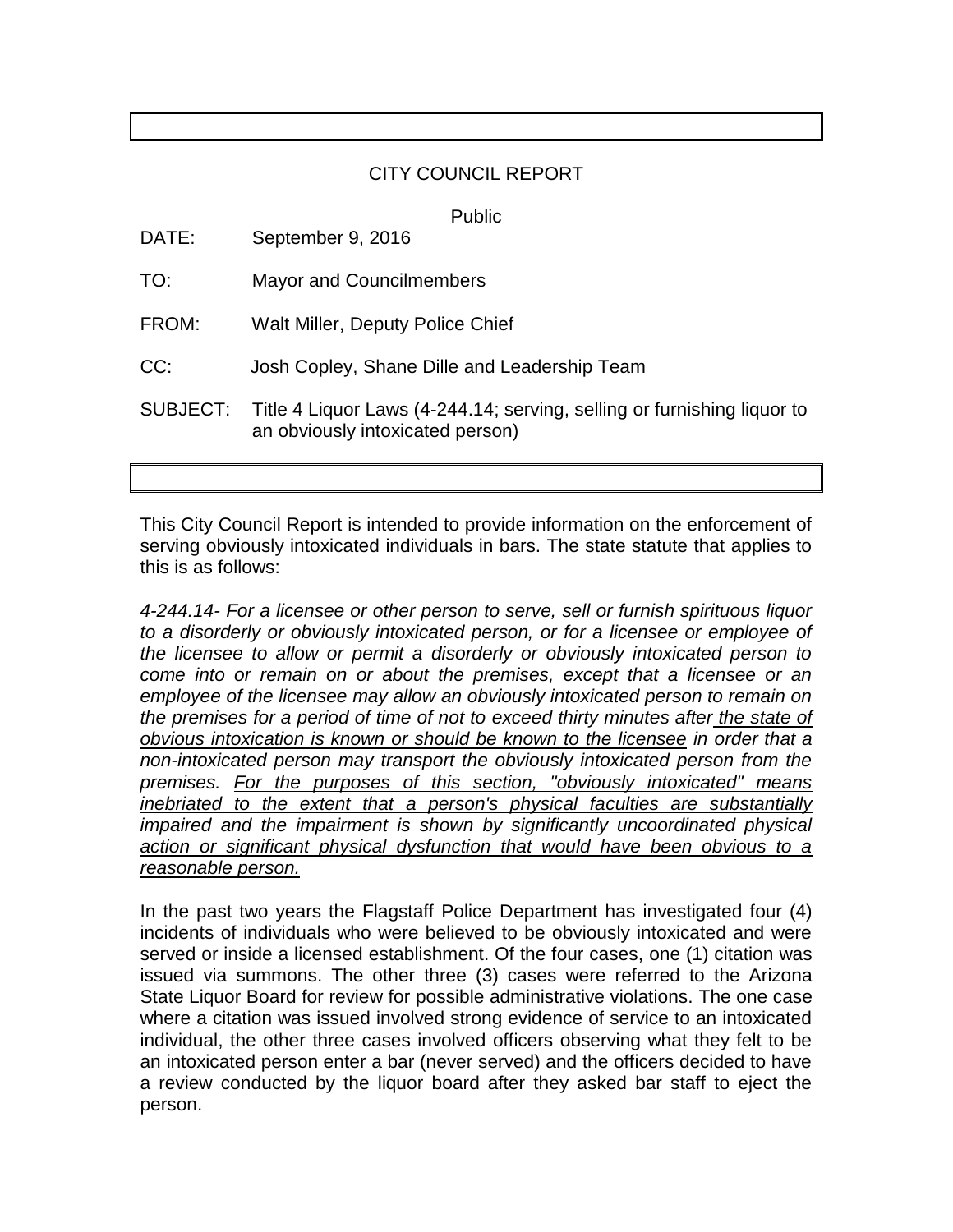## CITY COUNCIL REPORT

Public

| DATE:    | September 9, 2016                                                                                           |
|----------|-------------------------------------------------------------------------------------------------------------|
| TO:      | <b>Mayor and Councilmembers</b>                                                                             |
| FROM:    | Walt Miller, Deputy Police Chief                                                                            |
| CC:      | Josh Copley, Shane Dille and Leadership Team                                                                |
| SUBJECT: | Title 4 Liquor Laws (4-244.14; serving, selling or furnishing liquor to<br>an obviously intoxicated person) |

This City Council Report is intended to provide information on the enforcement of serving obviously intoxicated individuals in bars. The state statute that applies to this is as follows:

*4-244.14- For a licensee or other person to serve, sell or furnish spirituous liquor to a disorderly or obviously intoxicated person, or for a licensee or employee of the licensee to allow or permit a disorderly or obviously intoxicated person to come into or remain on or about the premises, except that a licensee or an employee of the licensee may allow an obviously intoxicated person to remain on the premises for a period of time of not to exceed thirty minutes after the state of obvious intoxication is known or should be known to the licensee in order that a non-intoxicated person may transport the obviously intoxicated person from the premises. For the purposes of this section, "obviously intoxicated" means inebriated to the extent that a person's physical faculties are substantially impaired and the impairment is shown by significantly uncoordinated physical action or significant physical dysfunction that would have been obvious to a reasonable person.*

In the past two years the Flagstaff Police Department has investigated four (4) incidents of individuals who were believed to be obviously intoxicated and were served or inside a licensed establishment. Of the four cases, one (1) citation was issued via summons. The other three (3) cases were referred to the Arizona State Liquor Board for review for possible administrative violations. The one case where a citation was issued involved strong evidence of service to an intoxicated individual, the other three cases involved officers observing what they felt to be an intoxicated person enter a bar (never served) and the officers decided to have a review conducted by the liquor board after they asked bar staff to eject the person.